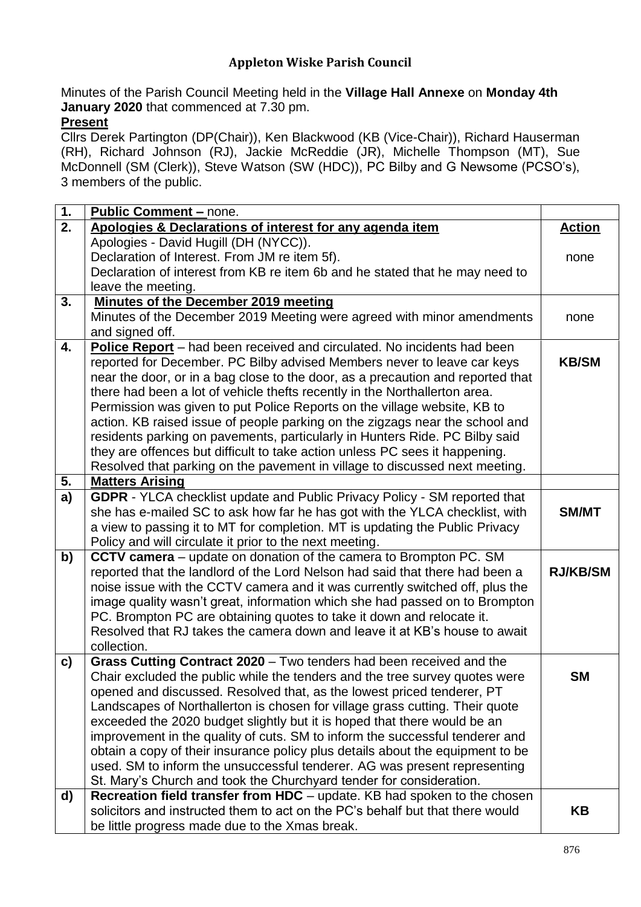## **Appleton Wiske Parish Council**

Minutes of the Parish Council Meeting held in the **Village Hall Annexe** on **Monday 4th January 2020** that commenced at 7.30 pm.

## **Present**

Cllrs Derek Partington (DP(Chair)), Ken Blackwood (KB (Vice-Chair)), Richard Hauserman (RH), Richard Johnson (RJ), Jackie McReddie (JR), Michelle Thompson (MT), Sue McDonnell (SM (Clerk)), Steve Watson (SW (HDC)), PC Bilby and G Newsome (PCSO's), 3 members of the public.

| 1.               | <b>Public Comment - none.</b>                                                   |                 |
|------------------|---------------------------------------------------------------------------------|-----------------|
| $\overline{2}$ . | Apologies & Declarations of interest for any agenda item                        | <b>Action</b>   |
|                  | Apologies - David Hugill (DH (NYCC)).                                           |                 |
|                  | Declaration of Interest. From JM re item 5f).                                   | none            |
|                  | Declaration of interest from KB re item 6b and he stated that he may need to    |                 |
|                  | leave the meeting.                                                              |                 |
| 3.               | <b>Minutes of the December 2019 meeting</b>                                     |                 |
|                  | Minutes of the December 2019 Meeting were agreed with minor amendments          | none            |
|                  | and signed off.                                                                 |                 |
| 4.               | Police Report - had been received and circulated. No incidents had been         |                 |
|                  | reported for December. PC Bilby advised Members never to leave car keys         | <b>KB/SM</b>    |
|                  | near the door, or in a bag close to the door, as a precaution and reported that |                 |
|                  | there had been a lot of vehicle thefts recently in the Northallerton area.      |                 |
|                  | Permission was given to put Police Reports on the village website, KB to        |                 |
|                  | action. KB raised issue of people parking on the zigzags near the school and    |                 |
|                  | residents parking on pavements, particularly in Hunters Ride. PC Bilby said     |                 |
|                  | they are offences but difficult to take action unless PC sees it happening.     |                 |
|                  | Resolved that parking on the pavement in village to discussed next meeting.     |                 |
| 5.               | <b>Matters Arising</b>                                                          |                 |
| a)               | GDPR - YLCA checklist update and Public Privacy Policy - SM reported that       |                 |
|                  | she has e-mailed SC to ask how far he has got with the YLCA checklist, with     | <b>SM/MT</b>    |
|                  | a view to passing it to MT for completion. MT is updating the Public Privacy    |                 |
|                  | Policy and will circulate it prior to the next meeting.                         |                 |
| b)               | CCTV camera - update on donation of the camera to Brompton PC. SM               |                 |
|                  | reported that the landlord of the Lord Nelson had said that there had been a    | <b>RJ/KB/SM</b> |
|                  | noise issue with the CCTV camera and it was currently switched off, plus the    |                 |
|                  | image quality wasn't great, information which she had passed on to Brompton     |                 |
|                  | PC. Brompton PC are obtaining quotes to take it down and relocate it.           |                 |
|                  | Resolved that RJ takes the camera down and leave it at KB's house to await      |                 |
|                  | collection.                                                                     |                 |
| c)               | Grass Cutting Contract 2020 - Two tenders had been received and the             |                 |
|                  | Chair excluded the public while the tenders and the tree survey quotes were     | <b>SM</b>       |
|                  | opened and discussed. Resolved that, as the lowest priced tenderer, PT          |                 |
|                  | Landscapes of Northallerton is chosen for village grass cutting. Their quote    |                 |
|                  | exceeded the 2020 budget slightly but it is hoped that there would be an        |                 |
|                  | improvement in the quality of cuts. SM to inform the successful tenderer and    |                 |
|                  | obtain a copy of their insurance policy plus details about the equipment to be  |                 |
|                  | used. SM to inform the unsuccessful tenderer. AG was present representing       |                 |
|                  | St. Mary's Church and took the Churchyard tender for consideration.             |                 |
| d)               | Recreation field transfer from HDC - update. KB had spoken to the chosen        |                 |
|                  | solicitors and instructed them to act on the PC's behalf but that there would   | KΒ              |
|                  | be little progress made due to the Xmas break.                                  |                 |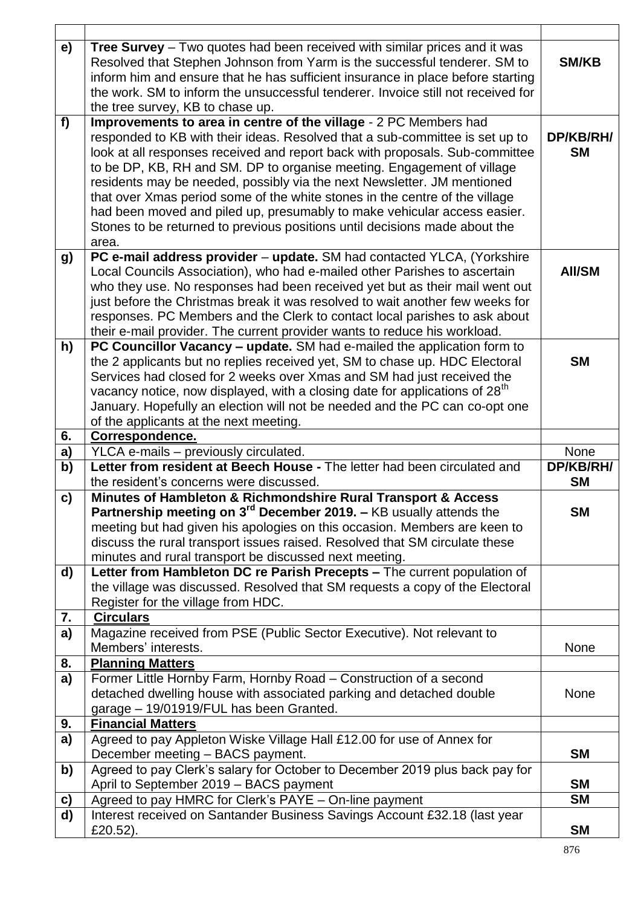| e)           | <b>Tree Survey</b> – Two quotes had been received with similar prices and it was<br>Resolved that Stephen Johnson from Yarm is the successful tenderer. SM to<br>inform him and ensure that he has sufficient insurance in place before starting<br>the work. SM to inform the unsuccessful tenderer. Invoice still not received for<br>the tree survey, KB to chase up.                                                                                                                                                                                                                                                                | <b>SM/KB</b>           |
|--------------|-----------------------------------------------------------------------------------------------------------------------------------------------------------------------------------------------------------------------------------------------------------------------------------------------------------------------------------------------------------------------------------------------------------------------------------------------------------------------------------------------------------------------------------------------------------------------------------------------------------------------------------------|------------------------|
| f            | Improvements to area in centre of the village - 2 PC Members had<br>responded to KB with their ideas. Resolved that a sub-committee is set up to<br>look at all responses received and report back with proposals. Sub-committee<br>to be DP, KB, RH and SM. DP to organise meeting. Engagement of village<br>residents may be needed, possibly via the next Newsletter. JM mentioned<br>that over Xmas period some of the white stones in the centre of the village<br>had been moved and piled up, presumably to make vehicular access easier.<br>Stones to be returned to previous positions until decisions made about the<br>area. | DP/KB/RH/<br><b>SM</b> |
| <b>g</b>     | PC e-mail address provider - update. SM had contacted YLCA, (Yorkshire<br>Local Councils Association), who had e-mailed other Parishes to ascertain<br>who they use. No responses had been received yet but as their mail went out<br>just before the Christmas break it was resolved to wait another few weeks for<br>responses. PC Members and the Clerk to contact local parishes to ask about<br>their e-mail provider. The current provider wants to reduce his workload.                                                                                                                                                          | <b>AII/SM</b>          |
| h)           | PC Councillor Vacancy - update. SM had e-mailed the application form to<br>the 2 applicants but no replies received yet, SM to chase up. HDC Electoral<br>Services had closed for 2 weeks over Xmas and SM had just received the<br>vacancy notice, now displayed, with a closing date for applications of 28 <sup>th</sup><br>January. Hopefully an election will not be needed and the PC can co-opt one<br>of the applicants at the next meeting.                                                                                                                                                                                    | <b>SM</b>              |
|              |                                                                                                                                                                                                                                                                                                                                                                                                                                                                                                                                                                                                                                         |                        |
| 6.           | Correspondence.                                                                                                                                                                                                                                                                                                                                                                                                                                                                                                                                                                                                                         |                        |
| a)           | YLCA e-mails - previously circulated.                                                                                                                                                                                                                                                                                                                                                                                                                                                                                                                                                                                                   | None                   |
| b)           | Letter from resident at Beech House - The letter had been circulated and                                                                                                                                                                                                                                                                                                                                                                                                                                                                                                                                                                | DP/KB/RH/              |
|              | the resident's concerns were discussed.                                                                                                                                                                                                                                                                                                                                                                                                                                                                                                                                                                                                 | <b>SM</b>              |
| c)           | Minutes of Hambleton & Richmondshire Rural Transport & Access<br>Partnership meeting on $3rd$ December 2019. - KB usually attends the<br>meeting but had given his apologies on this occasion. Members are keen to<br>discuss the rural transport issues raised. Resolved that SM circulate these                                                                                                                                                                                                                                                                                                                                       | <b>SM</b>              |
| d)           | minutes and rural transport be discussed next meeting.<br>Letter from Hambleton DC re Parish Precepts - The current population of<br>the village was discussed. Resolved that SM requests a copy of the Electoral<br>Register for the village from HDC.                                                                                                                                                                                                                                                                                                                                                                                 |                        |
| 7.           | <b>Circulars</b>                                                                                                                                                                                                                                                                                                                                                                                                                                                                                                                                                                                                                        |                        |
| a)           | Magazine received from PSE (Public Sector Executive). Not relevant to                                                                                                                                                                                                                                                                                                                                                                                                                                                                                                                                                                   |                        |
|              | Members' interests.                                                                                                                                                                                                                                                                                                                                                                                                                                                                                                                                                                                                                     | None                   |
| 8.           | <b>Planning Matters</b>                                                                                                                                                                                                                                                                                                                                                                                                                                                                                                                                                                                                                 |                        |
| a)           | Former Little Hornby Farm, Hornby Road - Construction of a second<br>detached dwelling house with associated parking and detached double<br>garage - 19/01919/FUL has been Granted.                                                                                                                                                                                                                                                                                                                                                                                                                                                     | None                   |
| 9.           | <b>Financial Matters</b>                                                                                                                                                                                                                                                                                                                                                                                                                                                                                                                                                                                                                |                        |
| a)           | Agreed to pay Appleton Wiske Village Hall £12.00 for use of Annex for<br>December meeting - BACS payment.                                                                                                                                                                                                                                                                                                                                                                                                                                                                                                                               | <b>SM</b>              |
| b)           | Agreed to pay Clerk's salary for October to December 2019 plus back pay for                                                                                                                                                                                                                                                                                                                                                                                                                                                                                                                                                             |                        |
|              | April to September 2019 - BACS payment                                                                                                                                                                                                                                                                                                                                                                                                                                                                                                                                                                                                  | <b>SM</b>              |
| $\mathbf{c}$ | Agreed to pay HMRC for Clerk's PAYE - On-line payment                                                                                                                                                                                                                                                                                                                                                                                                                                                                                                                                                                                   | <b>SM</b>              |
| d)           | Interest received on Santander Business Savings Account £32.18 (last year<br>£20.52).                                                                                                                                                                                                                                                                                                                                                                                                                                                                                                                                                   | <b>SM</b>              |